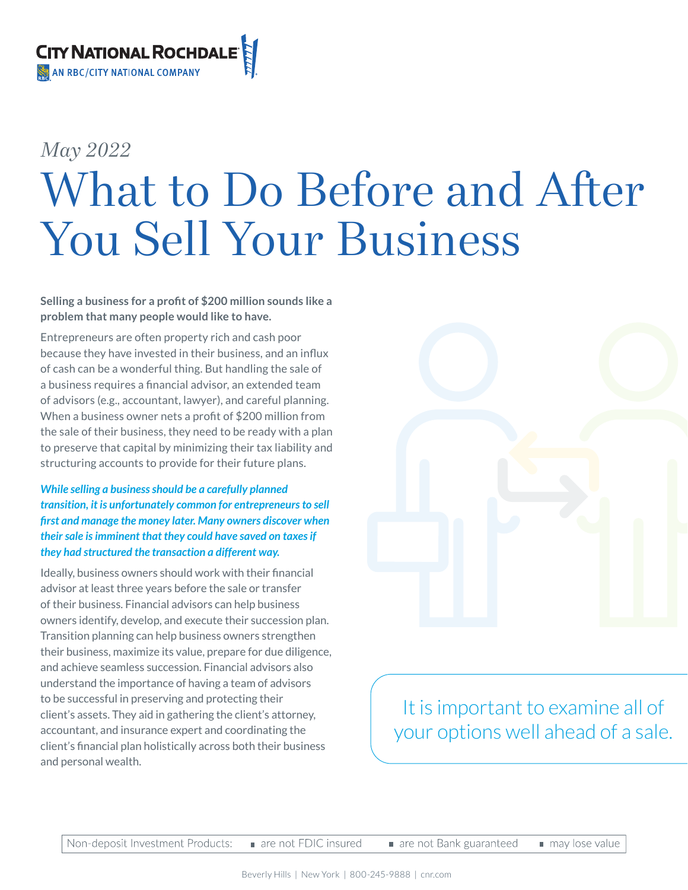

# *May 2022* What to Do Before and After You Sell Your Business

#### **Selling a business for a profit of \$200 million sounds like a problem that many people would like to have.**

Entrepreneurs are often property rich and cash poor because they have invested in their business, and an influx of cash can be a wonderful thing. But handling the sale of a business requires a financial advisor, an extended team of advisors (e.g., accountant, lawyer), and careful planning. When a business owner nets a profit of \$200 million from the sale of their business, they need to be ready with a plan to preserve that capital by minimizing their tax liability and structuring accounts to provide for their future plans.

#### *While selling a business should be a carefully planned transition, it is unfortunately common for entrepreneurs to sell first and manage the money later. Many owners discover when their sale is imminent that they could have saved on taxes if they had structured the transaction a different way.*

Ideally, business owners should work with their financial advisor at least three years before the sale or transfer of their business. Financial advisors can help business owners identify, develop, and execute their succession plan. Transition planning can help business owners strengthen their business, maximize its value, prepare for due diligence, and achieve seamless succession. Financial advisors also understand the importance of having a team of advisors to be successful in preserving and protecting their client's assets. They aid in gathering the client's attorney, accountant, and insurance expert and coordinating the client's financial plan holistically across both their business and personal wealth.



It is important to examine all of your options well ahead of a sale.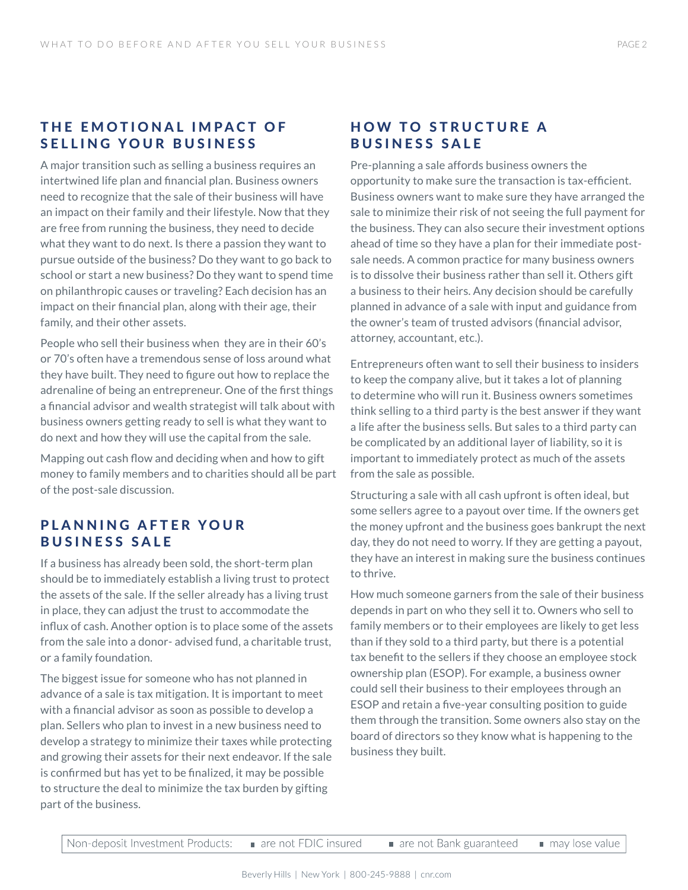#### THE EMOTIONAL IMPACT OF SELLING YOUR BUSINESS

A major transition such as selling a business requires an intertwined life plan and financial plan. Business owners need to recognize that the sale of their business will have an impact on their family and their lifestyle. Now that they are free from running the business, they need to decide what they want to do next. Is there a passion they want to pursue outside of the business? Do they want to go back to school or start a new business? Do they want to spend time on philanthropic causes or traveling? Each decision has an impact on their financial plan, along with their age, their family, and their other assets.

People who sell their business when they are in their 60's or 70's often have a tremendous sense of loss around what they have built. They need to figure out how to replace the adrenaline of being an entrepreneur. One of the first things a financial advisor and wealth strategist will talk about with business owners getting ready to sell is what they want to do next and how they will use the capital from the sale.

Mapping out cash flow and deciding when and how to gift money to family members and to charities should all be part of the post-sale discussion.

#### PLANNING AFTER YOUR BUSINESS SALE

If a business has already been sold, the short-term plan should be to immediately establish a living trust to protect the assets of the sale. If the seller already has a living trust in place, they can adjust the trust to accommodate the influx of cash. Another option is to place some of the assets from the sale into a donor- advised fund, a charitable trust, or a family foundation.

The biggest issue for someone who has not planned in advance of a sale is tax mitigation. It is important to meet with a financial advisor as soon as possible to develop a plan. Sellers who plan to invest in a new business need to develop a strategy to minimize their taxes while protecting and growing their assets for their next endeavor. If the sale is confirmed but has yet to be finalized, it may be possible to structure the deal to minimize the tax burden by gifting part of the business.

#### HOW TO STRUCTURE A BUSINESS SALE

Pre-planning a sale affords business owners the opportunity to make sure the transaction is tax-efficient. Business owners want to make sure they have arranged the sale to minimize their risk of not seeing the full payment for the business. They can also secure their investment options ahead of time so they have a plan for their immediate postsale needs. A common practice for many business owners is to dissolve their business rather than sell it. Others gift a business to their heirs. Any decision should be carefully planned in advance of a sale with input and guidance from the owner's team of trusted advisors (financial advisor, attorney, accountant, etc.).

Entrepreneurs often want to sell their business to insiders to keep the company alive, but it takes a lot of planning to determine who will run it. Business owners sometimes think selling to a third party is the best answer if they want a life after the business sells. But sales to a third party can be complicated by an additional layer of liability, so it is important to immediately protect as much of the assets from the sale as possible.

Structuring a sale with all cash upfront is often ideal, but some sellers agree to a payout over time. If the owners get the money upfront and the business goes bankrupt the next day, they do not need to worry. If they are getting a payout, they have an interest in making sure the business continues to thrive.

How much someone garners from the sale of their business depends in part on who they sell it to. Owners who sell to family members or to their employees are likely to get less than if they sold to a third party, but there is a potential tax benefit to the sellers if they choose an employee stock ownership plan (ESOP). For example, a business owner could sell their business to their employees through an ESOP and retain a five-year consulting position to guide them through the transition. Some owners also stay on the board of directors so they know what is happening to the business they built.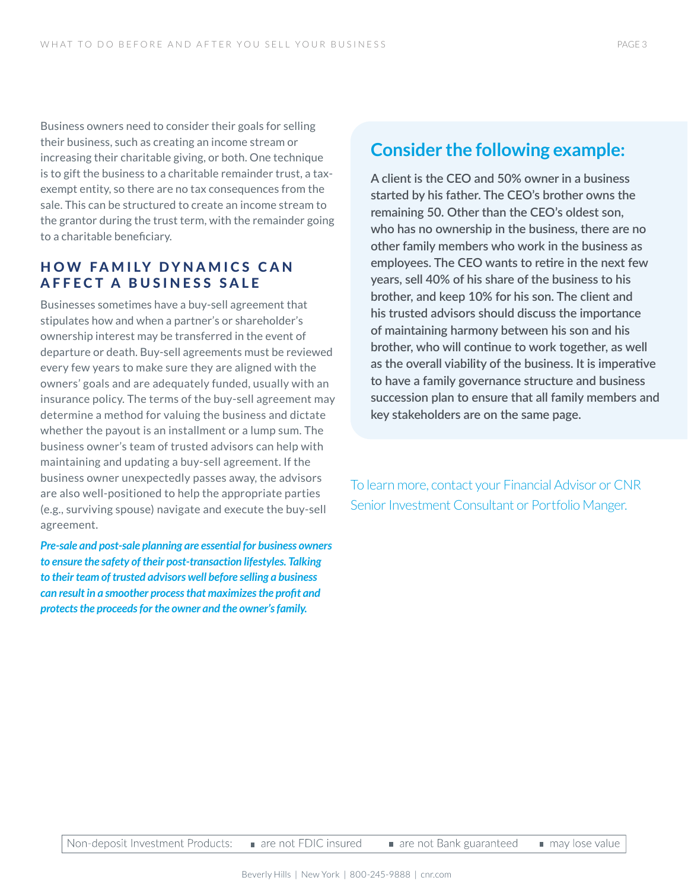Business owners need to consider their goals for selling their business, such as creating an income stream or increasing their charitable giving, or both. One technique is to gift the business to a charitable remainder trust, a taxexempt entity, so there are no tax consequences from the sale. This can be structured to create an income stream to the grantor during the trust term, with the remainder going to a charitable beneficiary.

### HOW FAMILY DYNAMICS CAN AFFECT A BUSINESS SALE

Businesses sometimes have a buy-sell agreement that stipulates how and when a partner's or shareholder's ownership interest may be transferred in the event of departure or death. Buy-sell agreements must be reviewed every few years to make sure they are aligned with the owners' goals and are adequately funded, usually with an insurance policy. The terms of the buy-sell agreement may determine a method for valuing the business and dictate whether the payout is an installment or a lump sum. The business owner's team of trusted advisors can help with maintaining and updating a buy-sell agreement. If the business owner unexpectedly passes away, the advisors are also well-positioned to help the appropriate parties (e.g., surviving spouse) navigate and execute the buy-sell agreement.

*Pre-sale and post-sale planning are essential for business owners to ensure the safety of their post-transaction lifestyles. Talking to their team of trusted advisors well before selling a business can result in a smoother process that maximizes the profit and protects the proceeds for the owner and the owner's family.*

## **Consider the following example:**

**A client is the CEO and 50% owner in a business started by his father. The CEO's brother owns the remaining 50. Other than the CEO's oldest son, who has no ownership in the business, there are no other family members who work in the business as employees. The CEO wants to retire in the next few years, sell 40% of his share of the business to his brother, and keep 10% for his son. The client and his trusted advisors should discuss the importance of maintaining harmony between his son and his brother, who will continue to work together, as well as the overall viability of the business. It is imperative to have a family governance structure and business succession plan to ensure that all family members and key stakeholders are on the same page.** 

To learn more, contact your Financial Advisor or CNR Senior Investment Consultant or Portfolio Manger.